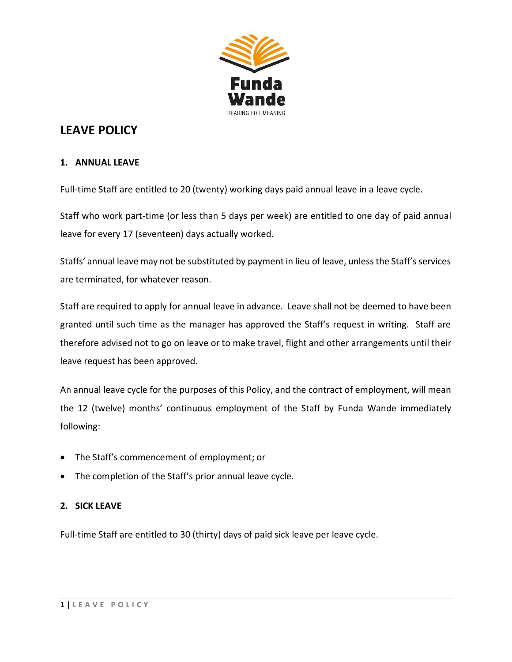

# **LEAVE POLICY**

## **1. ANNUAL LEAVE**

Full-time Staff are entitled to 20 (twenty) working days paid annual leave in a leave cycle.

Staff who work part-time (or less than 5 days per week) are entitled to one day of paid annual leave for every 17 (seventeen) days actually worked.

Staffs' annual leave may not be substituted by payment in lieu of leave, unless the Staff's services are terminated, for whatever reason.

Staff are required to apply for annual leave in advance. Leave shall not be deemed to have been granted until such time as the manager has approved the Staff's request in writing. Staff are therefore advised not to go on leave or to make travel, flight and other arrangements until their leave request has been approved.

An annual leave cycle for the purposes of this Policy, and the contract of employment, will mean the 12 (twelve) months' continuous employment of the Staff by Funda Wande immediately following:

- The Staff's commencement of employment; or
- The completion of the Staff's prior annual leave cycle.

## **2. SICK LEAVE**

Full-time Staff are entitled to 30 (thirty) days of paid sick leave per leave cycle.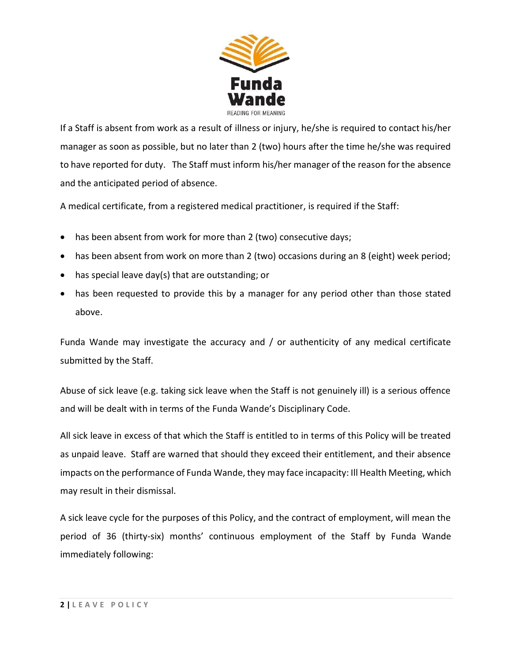

If a Staff is absent from work as a result of illness or injury, he/she is required to contact his/her manager as soon as possible, but no later than 2 (two) hours after the time he/she was required to have reported for duty. The Staff must inform his/her manager of the reason for the absence and the anticipated period of absence.

A medical certificate, from a registered medical practitioner, is required if the Staff:

- has been absent from work for more than 2 (two) consecutive days;
- has been absent from work on more than 2 (two) occasions during an 8 (eight) week period;
- has special leave day(s) that are outstanding; or
- has been requested to provide this by a manager for any period other than those stated above.

Funda Wande may investigate the accuracy and / or authenticity of any medical certificate submitted by the Staff.

Abuse of sick leave (e.g. taking sick leave when the Staff is not genuinely ill) is a serious offence and will be dealt with in terms of the Funda Wande's Disciplinary Code.

All sick leave in excess of that which the Staff is entitled to in terms of this Policy will be treated as unpaid leave. Staff are warned that should they exceed their entitlement, and their absence impacts on the performance of Funda Wande, they may face incapacity: Ill Health Meeting, which may result in their dismissal.

A sick leave cycle for the purposes of this Policy, and the contract of employment, will mean the period of 36 (thirty-six) months' continuous employment of the Staff by Funda Wande immediately following: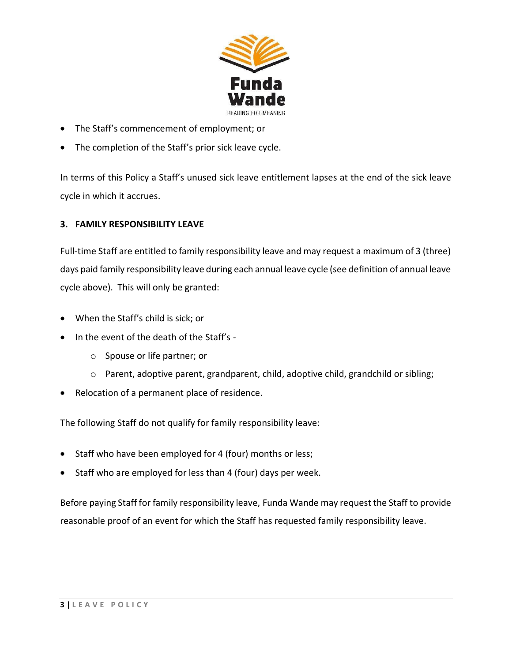

- The Staff's commencement of employment; or
- The completion of the Staff's prior sick leave cycle.

In terms of this Policy a Staff's unused sick leave entitlement lapses at the end of the sick leave cycle in which it accrues.

## **3. FAMILY RESPONSIBILITY LEAVE**

Full-time Staff are entitled to family responsibility leave and may request a maximum of 3 (three) days paid family responsibility leave during each annual leave cycle (see definition of annual leave cycle above). This will only be granted:

- When the Staff's child is sick; or
- In the event of the death of the Staff's
	- o Spouse or life partner; or
	- o Parent, adoptive parent, grandparent, child, adoptive child, grandchild or sibling;
- Relocation of a permanent place of residence.

The following Staff do not qualify for family responsibility leave:

- Staff who have been employed for 4 (four) months or less;
- Staff who are employed for less than 4 (four) days per week.

Before paying Staff for family responsibility leave, Funda Wande may request the Staff to provide reasonable proof of an event for which the Staff has requested family responsibility leave.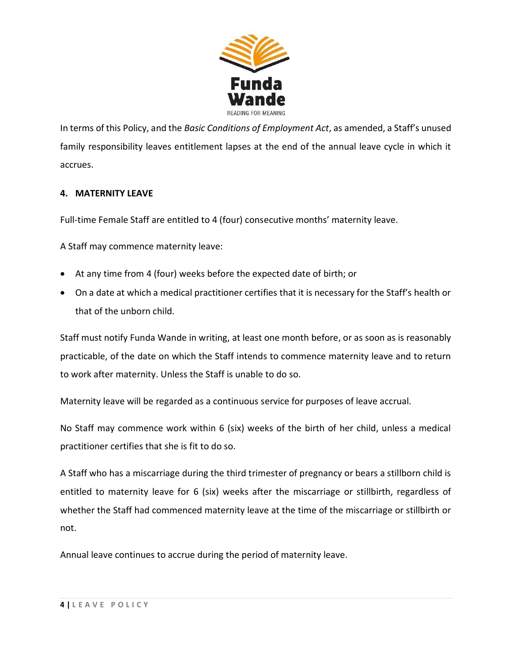

In terms of this Policy, and the *Basic Conditions of Employment Act*, as amended, a Staff's unused family responsibility leaves entitlement lapses at the end of the annual leave cycle in which it accrues.

# **4. MATERNITY LEAVE**

Full-time Female Staff are entitled to 4 (four) consecutive months' maternity leave.

A Staff may commence maternity leave:

- At any time from 4 (four) weeks before the expected date of birth; or
- On a date at which a medical practitioner certifies that it is necessary for the Staff's health or that of the unborn child.

Staff must notify Funda Wande in writing, at least one month before, or as soon as is reasonably practicable, of the date on which the Staff intends to commence maternity leave and to return to work after maternity. Unless the Staff is unable to do so.

Maternity leave will be regarded as a continuous service for purposes of leave accrual.

No Staff may commence work within 6 (six) weeks of the birth of her child, unless a medical practitioner certifies that she is fit to do so.

A Staff who has a miscarriage during the third trimester of pregnancy or bears a stillborn child is entitled to maternity leave for 6 (six) weeks after the miscarriage or stillbirth, regardless of whether the Staff had commenced maternity leave at the time of the miscarriage or stillbirth or not.

Annual leave continues to accrue during the period of maternity leave.